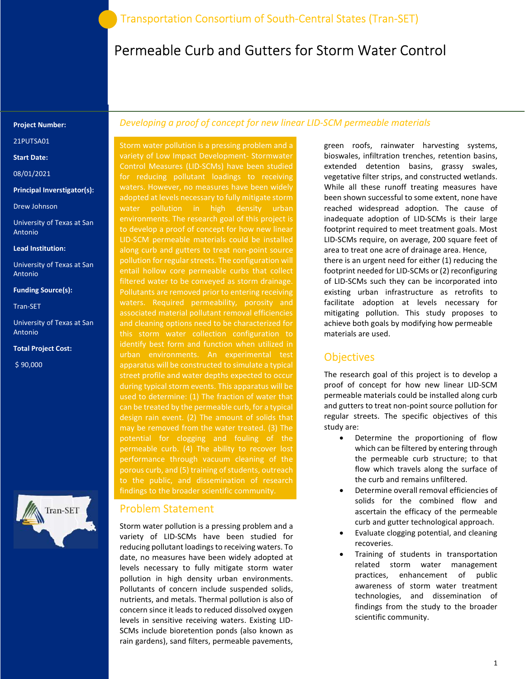# Permeable Curb and Gutters for Storm Water Control

#### Project Number:

21PUTSA01

Start Date:

08/01/2021

Principal Inverstigator(s):

Drew Johnson

University of Texas at San Antonio

Lead Institution:

University of Texas at San Antonio

#### Funding Source(s):

Tran-SET

University of Texas at San Antonio

Total Project Cost:

\$ 90,000



### Developing a proof of concept for new linear LID-SCM permeable materials

Storm water pollution is a pressing problem and a variety of Low Impact Development- Stormwater Control Measures (LID-SCMs) have been studied for reducing pollutant loadings to receiving waters. However, no measures have been widely adopted at levels necessary to fully mitigate storm water pollution in high density urban environments. The research goal of this project is to develop a proof of concept for how new linear LID-SCM permeable materials could be installed along curb and gutters to treat non-point source pollution for regular streets. The configuration will entail hollow core permeable curbs that collect filtered water to be conveyed as storm drainage. Pollutants are removed prior to entering receiving waters. Required permeability, porosity and associated material pollutant removal efficiencies and cleaning options need to be characterized for this storm water collection configuration to identify best form and function when utilized in urban environments. An experimental test apparatus will be constructed to simulate a typical street profile and water depths expected to occur during typical storm events. This apparatus will be can be treated by the permeable curb, for a typical design rain event. (2) The amount of solids that potential for clogging and fouling of the performance through vacuum cleaning of the porous curb, and (5) training of students, outreach findings to the broader scientific community.

### Problem Statement

Storm water pollution is a pressing problem and a variety of LID-SCMs have been studied for reducing pollutant loadings to receiving waters. To date, no measures have been widely adopted at levels necessary to fully mitigate storm water pollution in high density urban environments. Pollutants of concern include suspended solids, nutrients, and metals. Thermal pollution is also of concern since it leads to reduced dissolved oxygen levels in sensitive receiving waters. Existing LID-SCMs include bioretention ponds (also known as rain gardens), sand filters, permeable pavements,

green roofs, rainwater harvesting systems, bioswales, infiltration trenches, retention basins, extended detention basins, grassy swales, vegetative filter strips, and constructed wetlands. While all these runoff treating measures have been shown successful to some extent, none have reached widespread adoption. The cause of inadequate adoption of LID-SCMs is their large footprint required to meet treatment goals. Most LID-SCMs require, on average, 200 square feet of area to treat one acre of drainage area. Hence, there is an urgent need for either (1) reducing the footprint needed for LID-SCMs or (2) reconfiguring of LID-SCMs such they can be incorporated into existing urban infrastructure as retrofits to facilitate adoption at levels necessary for mitigating pollution. This study proposes to achieve both goals by modifying how permeable materials are used.

### **Objectives**

The research goal of this project is to develop a proof of concept for how new linear LID-SCM permeable materials could be installed along curb and gutters to treat non-point source pollution for regular streets. The specific objectives of this study are:

- Determine the proportioning of flow which can be filtered by entering through the permeable curb structure; to that flow which travels along the surface of the curb and remains unfiltered.
- Determine overall removal efficiencies of solids for the combined flow and ascertain the efficacy of the permeable curb and gutter technological approach.
- Evaluate clogging potential, and cleaning recoveries.
- Training of students in transportation related storm water management practices, enhancement of public awareness of storm water treatment technologies, and dissemination of findings from the study to the broader scientific community.